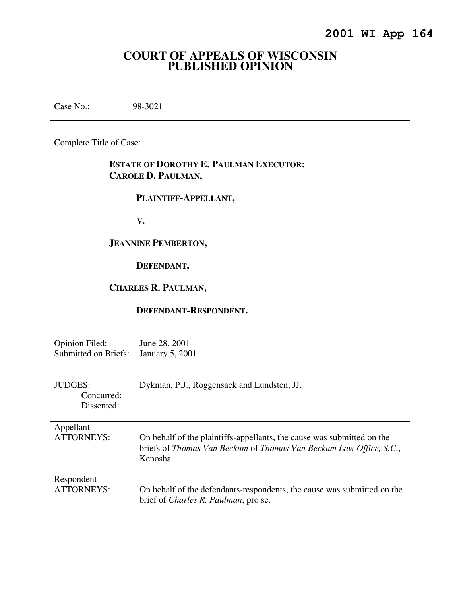# **COURT OF APPEALS OF WISCONSIN PUBLISHED OPINION**

Case No.: 98-3021

Complete Title of Case:

# **ESTATE OF DOROTHY E. PAULMAN EXECUTOR: CAROLE D. PAULMAN,**

## **PLAINTIFF-APPELLANT,**

 **V.** 

## **JEANNINE PEMBERTON,**

# **DEFENDANT,**

# **CHARLES R. PAULMAN,**

## **DEFENDANT-RESPONDENT.**

| Opinion Filed:       | June 28, 2001          |
|----------------------|------------------------|
| Submitted on Briefs: | <b>January 5, 2001</b> |

| JUDGES:                  | Dykman, P.J., Roggensack and Lundsten, JJ. |
|--------------------------|--------------------------------------------|
| Concurred:<br>Dissented: |                                            |
|                          |                                            |

| Appellant       |
|-----------------|
| <b>ATTORNEY</b> |

| ATTORNEYS: | On behalf of the plaintiffs-appellants, the cause was submitted on the            |
|------------|-----------------------------------------------------------------------------------|
|            | briefs of <i>Thomas Van Beckum</i> of <i>Thomas Van Beckum Law Office, S.C.</i> , |
|            | Kenosha.                                                                          |

| Respondent |                                                                         |
|------------|-------------------------------------------------------------------------|
| ATTORNEYS: | On behalf of the defendants-respondents, the cause was submitted on the |
|            | brief of <i>Charles R. Paulman</i> , pro se.                            |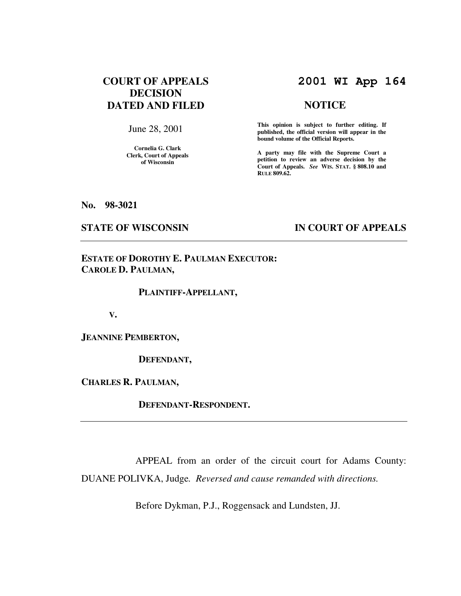# **COURT OF APPEALS DECISION DATED AND FILED**

June 28, 2001

**Cornelia G. Clark Clerk, Court of Appeals of Wisconsin** 

# **2001 WI App 164**

#### **NOTICE**

**This opinion is subject to further editing. If published, the official version will appear in the bound volume of the Official Reports.**

**A party may file with the Supreme Court a petition to review an adverse decision by the Court of Appeals.** *See* **WIS. STAT. § 808.10 and RULE 809.62.** 

**No. 98-3021** 

### **STATE OF WISCONSIN IN COURT OF APPEALS**

# **ESTATE OF DOROTHY E. PAULMAN EXECUTOR: CAROLE D. PAULMAN,**

#### **PLAINTIFF-APPELLANT,**

 **V.** 

**JEANNINE PEMBERTON,** 

 **DEFENDANT,** 

**CHARLES R. PAULMAN,** 

 **DEFENDANT-RESPONDENT.** 

 APPEAL from an order of the circuit court for Adams County: DUANE POLIVKA, Judge*. Reversed and cause remanded with directions.*

Before Dykman, P.J., Roggensack and Lundsten, JJ.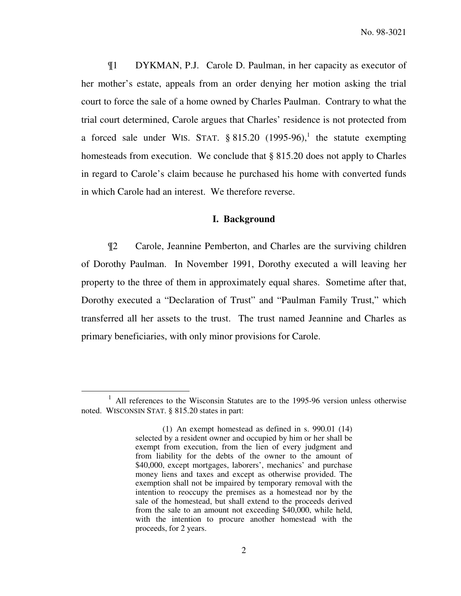¶1 DYKMAN, P.J. Carole D. Paulman, in her capacity as executor of her mother's estate, appeals from an order denying her motion asking the trial court to force the sale of a home owned by Charles Paulman. Contrary to what the trial court determined, Carole argues that Charles' residence is not protected from a forced sale under WIS. STAT.  $\S 815.20$  (1995-96),<sup>1</sup> the statute exempting homesteads from execution. We conclude that § 815.20 does not apply to Charles in regard to Carole's claim because he purchased his home with converted funds in which Carole had an interest. We therefore reverse.

## **I. Background**

¶2 Carole, Jeannine Pemberton, and Charles are the surviving children of Dorothy Paulman. In November 1991, Dorothy executed a will leaving her property to the three of them in approximately equal shares. Sometime after that, Dorothy executed a "Declaration of Trust" and "Paulman Family Trust," which transferred all her assets to the trust. The trust named Jeannine and Charles as primary beneficiaries, with only minor provisions for Carole.

<sup>&</sup>lt;sup>1</sup> All references to the Wisconsin Statutes are to the 1995-96 version unless otherwise noted. WISCONSIN STAT. § 815.20 states in part:

<sup>(1)</sup> An exempt homestead as defined in s. 990.01 (14) selected by a resident owner and occupied by him or her shall be exempt from execution, from the lien of every judgment and from liability for the debts of the owner to the amount of \$40,000, except mortgages, laborers', mechanics' and purchase money liens and taxes and except as otherwise provided. The exemption shall not be impaired by temporary removal with the intention to reoccupy the premises as a homestead nor by the sale of the homestead, but shall extend to the proceeds derived from the sale to an amount not exceeding \$40,000, while held, with the intention to procure another homestead with the proceeds, for 2 years.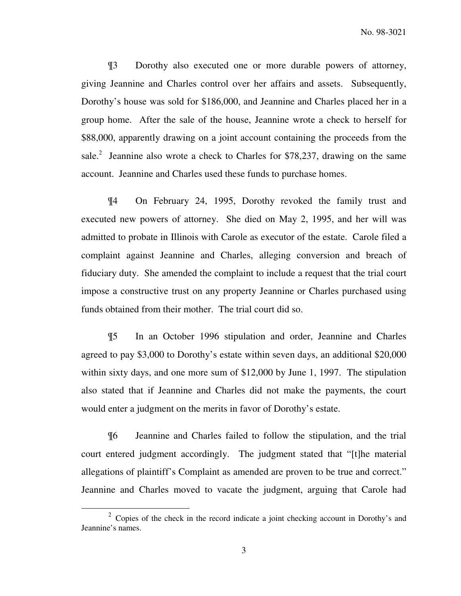¶3 Dorothy also executed one or more durable powers of attorney, giving Jeannine and Charles control over her affairs and assets. Subsequently, Dorothy's house was sold for \$186,000, and Jeannine and Charles placed her in a group home. After the sale of the house, Jeannine wrote a check to herself for \$88,000, apparently drawing on a joint account containing the proceeds from the sale.<sup>2</sup> Jeannine also wrote a check to Charles for \$78,237, drawing on the same account. Jeannine and Charles used these funds to purchase homes.

¶4 On February 24, 1995, Dorothy revoked the family trust and executed new powers of attorney. She died on May 2, 1995, and her will was admitted to probate in Illinois with Carole as executor of the estate. Carole filed a complaint against Jeannine and Charles, alleging conversion and breach of fiduciary duty. She amended the complaint to include a request that the trial court impose a constructive trust on any property Jeannine or Charles purchased using funds obtained from their mother. The trial court did so.

¶5 In an October 1996 stipulation and order, Jeannine and Charles agreed to pay \$3,000 to Dorothy's estate within seven days, an additional \$20,000 within sixty days, and one more sum of \$12,000 by June 1, 1997. The stipulation also stated that if Jeannine and Charles did not make the payments, the court would enter a judgment on the merits in favor of Dorothy's estate.

¶6 Jeannine and Charles failed to follow the stipulation, and the trial court entered judgment accordingly. The judgment stated that "[t]he material allegations of plaintiff's Complaint as amended are proven to be true and correct." Jeannine and Charles moved to vacate the judgment, arguing that Carole had

 $2^2$  Copies of the check in the record indicate a joint checking account in Dorothy's and Jeannine's names.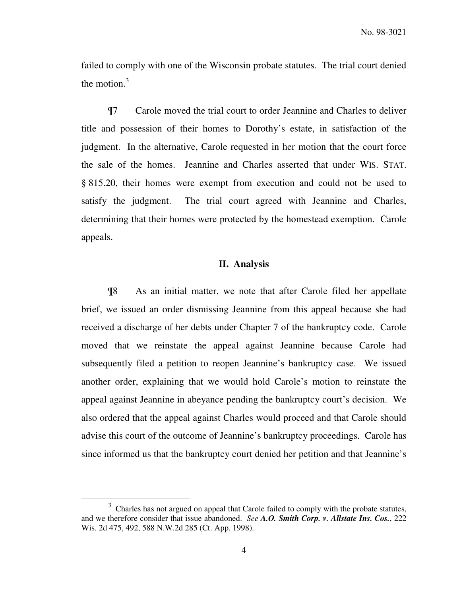failed to comply with one of the Wisconsin probate statutes. The trial court denied the motion. $3$ 

¶7 Carole moved the trial court to order Jeannine and Charles to deliver title and possession of their homes to Dorothy's estate, in satisfaction of the judgment. In the alternative, Carole requested in her motion that the court force the sale of the homes. Jeannine and Charles asserted that under WIS. STAT. § 815.20, their homes were exempt from execution and could not be used to satisfy the judgment. The trial court agreed with Jeannine and Charles, determining that their homes were protected by the homestead exemption. Carole appeals.

#### **II. Analysis**

 ¶8 As an initial matter, we note that after Carole filed her appellate brief, we issued an order dismissing Jeannine from this appeal because she had received a discharge of her debts under Chapter 7 of the bankruptcy code. Carole moved that we reinstate the appeal against Jeannine because Carole had subsequently filed a petition to reopen Jeannine's bankruptcy case. We issued another order, explaining that we would hold Carole's motion to reinstate the appeal against Jeannine in abeyance pending the bankruptcy court's decision. We also ordered that the appeal against Charles would proceed and that Carole should advise this court of the outcome of Jeannine's bankruptcy proceedings. Carole has since informed us that the bankruptcy court denied her petition and that Jeannine's

 $3$  Charles has not argued on appeal that Carole failed to comply with the probate statutes, and we therefore consider that issue abandoned. *See A.O. Smith Corp. v. Allstate Ins. Cos.*, 222 Wis. 2d 475, 492, 588 N.W.2d 285 (Ct. App. 1998).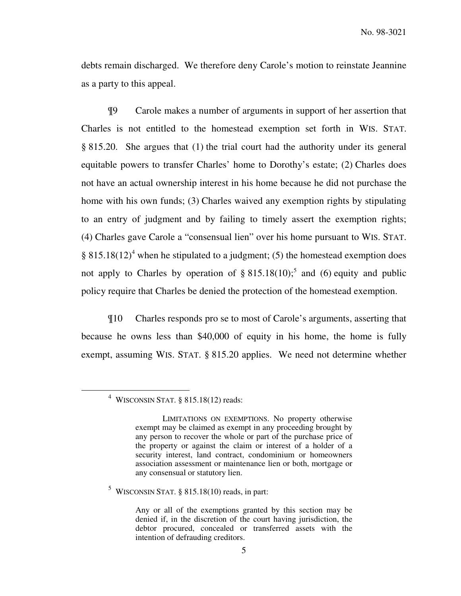debts remain discharged. We therefore deny Carole's motion to reinstate Jeannine as a party to this appeal.

¶9 Carole makes a number of arguments in support of her assertion that Charles is not entitled to the homestead exemption set forth in WIS. STAT. § 815.20. She argues that (1) the trial court had the authority under its general equitable powers to transfer Charles' home to Dorothy's estate; (2) Charles does not have an actual ownership interest in his home because he did not purchase the home with his own funds; (3) Charles waived any exemption rights by stipulating to an entry of judgment and by failing to timely assert the exemption rights; (4) Charles gave Carole a "consensual lien" over his home pursuant to WIS. STAT. § 815.18 $(12)^4$  when he stipulated to a judgment; (5) the homestead exemption does not apply to Charles by operation of  $\S 815.18(10)$ <sup>5</sup>, and (6) equity and public policy require that Charles be denied the protection of the homestead exemption.

¶10 Charles responds pro se to most of Carole's arguments, asserting that because he owns less than \$40,000 of equity in his home, the home is fully exempt, assuming WIS. STAT. § 815.20 applies. We need not determine whether

 $\overline{a}$ 

 $<sup>5</sup>$  WISCONSIN STAT. § 815.18(10) reads, in part:</sup>

<sup>4</sup> WISCONSIN STAT. § 815.18(12) reads:

LIMITATIONS ON EXEMPTIONS. No property otherwise exempt may be claimed as exempt in any proceeding brought by any person to recover the whole or part of the purchase price of the property or against the claim or interest of a holder of a security interest, land contract, condominium or homeowners association assessment or maintenance lien or both, mortgage or any consensual or statutory lien.

Any or all of the exemptions granted by this section may be denied if, in the discretion of the court having jurisdiction, the debtor procured, concealed or transferred assets with the intention of defrauding creditors.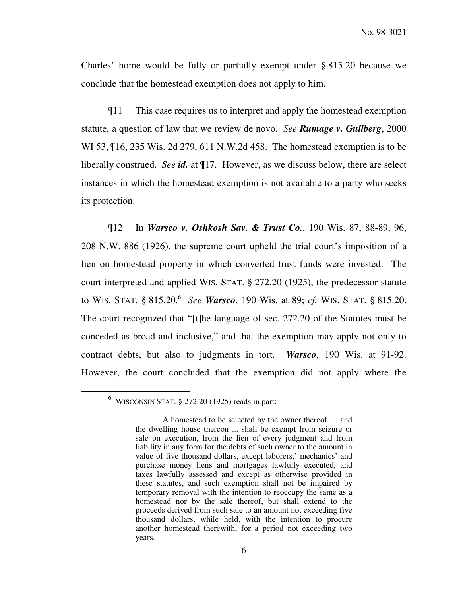Charles' home would be fully or partially exempt under § 815.20 because we conclude that the homestead exemption does not apply to him.

¶11 This case requires us to interpret and apply the homestead exemption statute, a question of law that we review de novo. *See Rumage v. Gullberg*, 2000 WI 53, ¶16, 235 Wis. 2d 279, 611 N.W.2d 458. The homestead exemption is to be liberally construed. *See id.* at ¶17. However, as we discuss below, there are select instances in which the homestead exemption is not available to a party who seeks its protection.

¶12 In *Warsco v. Oshkosh Sav. & Trust Co.*, 190 Wis. 87, 88-89, 96, 208 N.W. 886 (1926), the supreme court upheld the trial court's imposition of a lien on homestead property in which converted trust funds were invested. The court interpreted and applied WIS. STAT. § 272.20 (1925), the predecessor statute to WIS. STAT. § 815.20.<sup>6</sup> *See Warsco*, 190 Wis. at 89; *cf.* WIS. STAT. § 815.20. The court recognized that "[t]he language of sec. 272.20 of the Statutes must be conceded as broad and inclusive," and that the exemption may apply not only to contract debts, but also to judgments in tort. *Warsco*, 190 Wis. at 91-92. However, the court concluded that the exemption did not apply where the

 $6$  WISCONSIN STAT.  $\S 272.20$  (1925) reads in part:

A homestead to be selected by the owner thereof … and the dwelling house thereon ... shall be exempt from seizure or sale on execution, from the lien of every judgment and from liability in any form for the debts of such owner to the amount in value of five thousand dollars, except laborers,' mechanics' and purchase money liens and mortgages lawfully executed, and taxes lawfully assessed and except as otherwise provided in these statutes, and such exemption shall not be impaired by temporary removal with the intention to reoccupy the same as a homestead nor by the sale thereof, but shall extend to the proceeds derived from such sale to an amount not exceeding five thousand dollars, while held, with the intention to procure another homestead therewith, for a period not exceeding two years.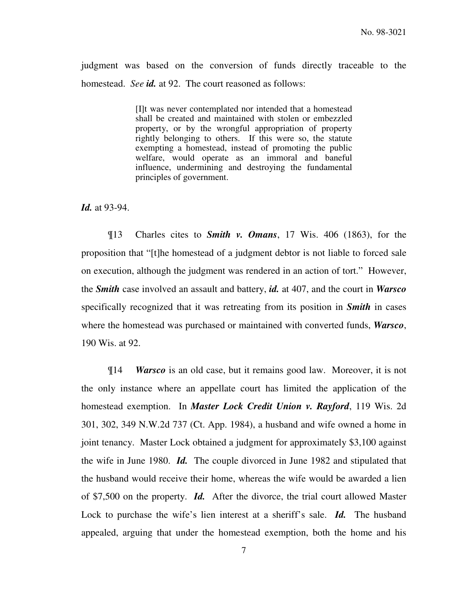judgment was based on the conversion of funds directly traceable to the homestead. *See id.* at 92. The court reasoned as follows:

> [I]t was never contemplated nor intended that a homestead shall be created and maintained with stolen or embezzled property, or by the wrongful appropriation of property rightly belonging to others. If this were so, the statute exempting a homestead, instead of promoting the public welfare, would operate as an immoral and baneful influence, undermining and destroying the fundamental principles of government.

*Id.* at 93-94.

¶13 Charles cites to *Smith v. Omans*, 17 Wis. 406 (1863), for the proposition that "[t]he homestead of a judgment debtor is not liable to forced sale on execution, although the judgment was rendered in an action of tort." However, the *Smith* case involved an assault and battery, *id.* at 407, and the court in *Warsco* specifically recognized that it was retreating from its position in *Smith* in cases where the homestead was purchased or maintained with converted funds, *Warsco*, 190 Wis. at 92.

 ¶14 *Warsco* is an old case, but it remains good law. Moreover, it is not the only instance where an appellate court has limited the application of the homestead exemption. In *Master Lock Credit Union v. Rayford*, 119 Wis. 2d 301, 302, 349 N.W.2d 737 (Ct. App. 1984), a husband and wife owned a home in joint tenancy. Master Lock obtained a judgment for approximately \$3,100 against the wife in June 1980. *Id.* The couple divorced in June 1982 and stipulated that the husband would receive their home, whereas the wife would be awarded a lien of \$7,500 on the property. *Id.* After the divorce, the trial court allowed Master Lock to purchase the wife's lien interest at a sheriff's sale. *Id.* The husband appealed, arguing that under the homestead exemption, both the home and his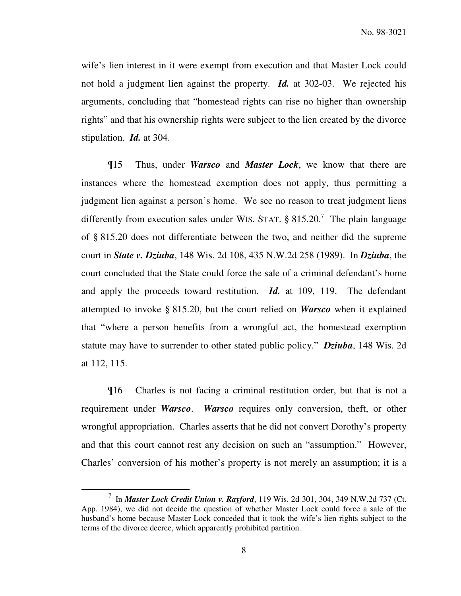wife's lien interest in it were exempt from execution and that Master Lock could not hold a judgment lien against the property. *Id.* at 302-03. We rejected his arguments, concluding that "homestead rights can rise no higher than ownership rights" and that his ownership rights were subject to the lien created by the divorce stipulation. *Id.* at 304.

¶15 Thus, under *Warsco* and *Master Lock*, we know that there are instances where the homestead exemption does not apply, thus permitting a judgment lien against a person's home. We see no reason to treat judgment liens differently from execution sales under WIS. STAT.  $\S 815.20$ .<sup>7</sup> The plain language of § 815.20 does not differentiate between the two, and neither did the supreme court in *State v. Dziuba*, 148 Wis. 2d 108, 435 N.W.2d 258 (1989). In *Dziuba*, the court concluded that the State could force the sale of a criminal defendant's home and apply the proceeds toward restitution. *Id.* at 109, 119. The defendant attempted to invoke § 815.20, but the court relied on *Warsco* when it explained that "where a person benefits from a wrongful act, the homestead exemption statute may have to surrender to other stated public policy." *Dziuba*, 148 Wis. 2d at 112, 115.

¶16 Charles is not facing a criminal restitution order, but that is not a requirement under *Warsco*. *Warsco* requires only conversion, theft, or other wrongful appropriation. Charles asserts that he did not convert Dorothy's property and that this court cannot rest any decision on such an "assumption." However, Charles' conversion of his mother's property is not merely an assumption; it is a

<sup>7</sup> In *Master Lock Credit Union v. Rayford*, 119 Wis. 2d 301, 304, 349 N.W.2d 737 (Ct. App. 1984), we did not decide the question of whether Master Lock could force a sale of the husband's home because Master Lock conceded that it took the wife's lien rights subject to the terms of the divorce decree, which apparently prohibited partition.